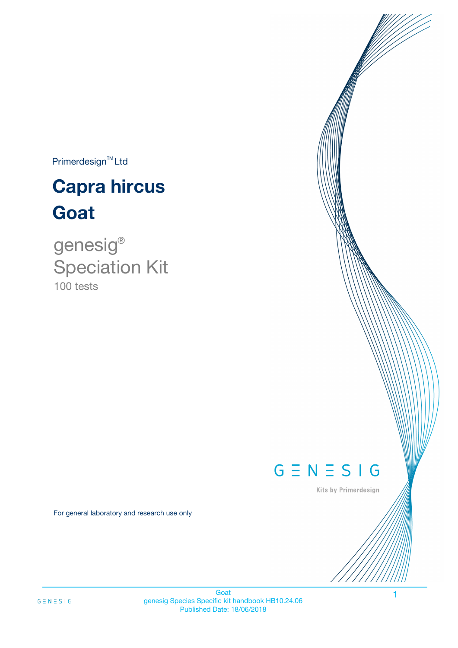$Primerdesign^{TM}$ Ltd

# **Capra hircus Goat**

100 tests genesig ® Speciation Kit

# $G \equiv N \equiv S \mid G$

Kits by Primerdesign

1

For general laboratory and research use only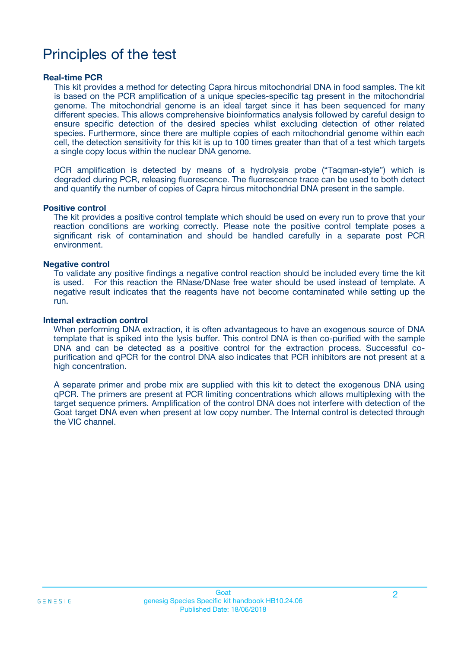# Principles of the test

### **Real-time PCR**

This kit provides a method for detecting Capra hircus mitochondrial DNA in food samples. The kit is based on the PCR amplification of a unique species-specific tag present in the mitochondrial genome. The mitochondrial genome is an ideal target since it has been sequenced for many different species. This allows comprehensive bioinformatics analysis followed by careful design to ensure specific detection of the desired species whilst excluding detection of other related species. Furthermore, since there are multiple copies of each mitochondrial genome within each cell, the detection sensitivity for this kit is up to 100 times greater than that of a test which targets a single copy locus within the nuclear DNA genome.

PCR amplification is detected by means of a hydrolysis probe ("Taqman-style") which is degraded during PCR, releasing fluorescence. The fluorescence trace can be used to both detect and quantify the number of copies of Capra hircus mitochondrial DNA present in the sample.

### **Positive control**

The kit provides a positive control template which should be used on every run to prove that your reaction conditions are working correctly. Please note the positive control template poses a significant risk of contamination and should be handled carefully in a separate post PCR environment.

### **Negative control**

To validate any positive findings a negative control reaction should be included every time the kit is used. For this reaction the RNase/DNase free water should be used instead of template. A negative result indicates that the reagents have not become contaminated while setting up the run.

#### **Internal extraction control**

When performing DNA extraction, it is often advantageous to have an exogenous source of DNA template that is spiked into the lysis buffer. This control DNA is then co-purified with the sample DNA and can be detected as a positive control for the extraction process. Successful copurification and qPCR for the control DNA also indicates that PCR inhibitors are not present at a high concentration.

A separate primer and probe mix are supplied with this kit to detect the exogenous DNA using qPCR. The primers are present at PCR limiting concentrations which allows multiplexing with the target sequence primers. Amplification of the control DNA does not interfere with detection of the Goat target DNA even when present at low copy number. The Internal control is detected through the VIC channel.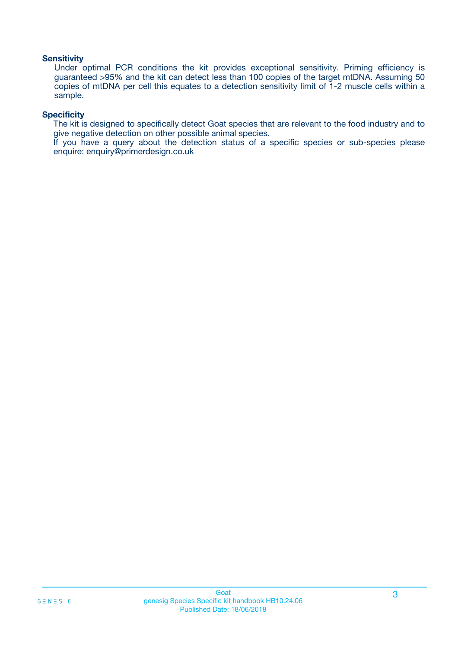### **Sensitivity**

Under optimal PCR conditions the kit provides exceptional sensitivity. Priming efficiency is guaranteed >95% and the kit can detect less than 100 copies of the target mtDNA. Assuming 50 copies of mtDNA per cell this equates to a detection sensitivity limit of 1-2 muscle cells within a sample.

### **Specificity**

The kit is designed to specifically detect Goat species that are relevant to the food industry and to give negative detection on other possible animal species.

If you have a query about the detection status of a specific species or sub-species please enquire: enquiry@primerdesign.co.uk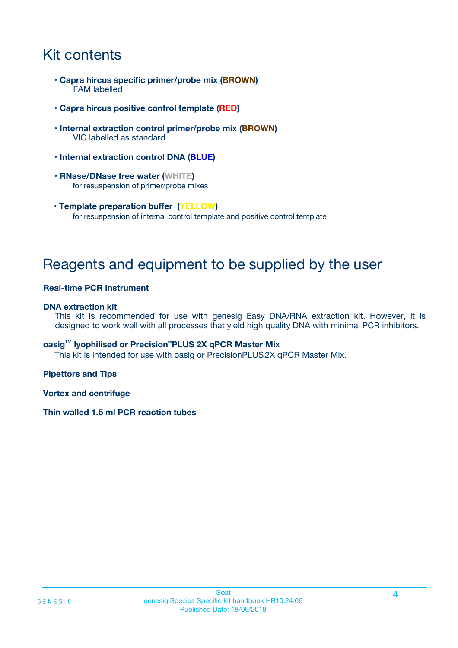# Kit contents

- **Capra hircus specific primer/probe mix (BROWN)** FAM labelled
- **Capra hircus positive control template (RED)**
- **Internal extraction control primer/probe mix (BROWN)** VIC labelled as standard
- **Internal extraction control DNA (BLUE)**
- **RNase/DNase free water (WHITE)** for resuspension of primer/probe mixes
- **Template preparation buffer (YELLOW)** for resuspension of internal control template and positive control template

# Reagents and equipment to be supplied by the user

### **Real-time PCR Instrument**

### **DNA extraction kit**

This kit is recommended for use with genesig Easy DNA/RNA extraction kit. However, it is designed to work well with all processes that yield high quality DNA with minimal PCR inhibitors.

### **oasig**TM **lyophilised or Precision**®**PLUS 2X qPCR Master Mix**

This kit is intended for use with oasig or PrecisionPLUS2X qPCR Master Mix.

### **Pipettors and Tips**

**Vortex and centrifuge**

### **Thin walled 1.5 ml PCR reaction tubes**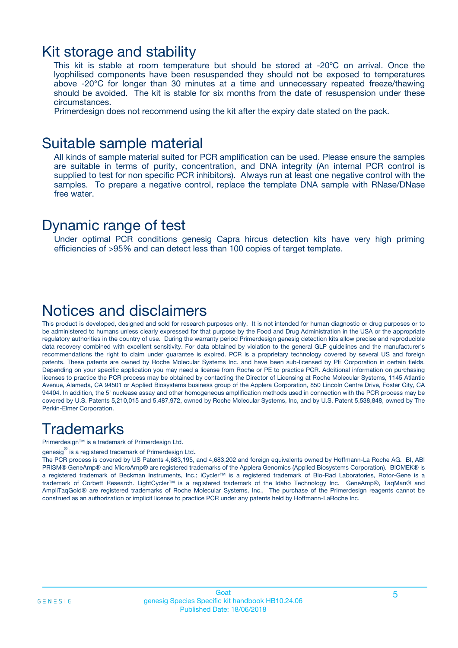### Kit storage and stability

This kit is stable at room temperature but should be stored at -20ºC on arrival. Once the lyophilised components have been resuspended they should not be exposed to temperatures above -20°C for longer than 30 minutes at a time and unnecessary repeated freeze/thawing should be avoided. The kit is stable for six months from the date of resuspension under these circumstances.

Primerdesign does not recommend using the kit after the expiry date stated on the pack.

### Suitable sample material

All kinds of sample material suited for PCR amplification can be used. Please ensure the samples are suitable in terms of purity, concentration, and DNA integrity (An internal PCR control is supplied to test for non specific PCR inhibitors). Always run at least one negative control with the samples. To prepare a negative control, replace the template DNA sample with RNase/DNase free water.

### Dynamic range of test

Under optimal PCR conditions genesig Capra hircus detection kits have very high priming efficiencies of >95% and can detect less than 100 copies of target template.

## Notices and disclaimers

This product is developed, designed and sold for research purposes only. It is not intended for human diagnostic or drug purposes or to be administered to humans unless clearly expressed for that purpose by the Food and Drug Administration in the USA or the appropriate regulatory authorities in the country of use. During the warranty period Primerdesign genesig detection kits allow precise and reproducible data recovery combined with excellent sensitivity. For data obtained by violation to the general GLP guidelines and the manufacturer's recommendations the right to claim under guarantee is expired. PCR is a proprietary technology covered by several US and foreign patents. These patents are owned by Roche Molecular Systems Inc. and have been sub-licensed by PE Corporation in certain fields. Depending on your specific application you may need a license from Roche or PE to practice PCR. Additional information on purchasing licenses to practice the PCR process may be obtained by contacting the Director of Licensing at Roche Molecular Systems, 1145 Atlantic Avenue, Alameda, CA 94501 or Applied Biosystems business group of the Applera Corporation, 850 Lincoln Centre Drive, Foster City, CA 94404. In addition, the 5' nuclease assay and other homogeneous amplification methods used in connection with the PCR process may be covered by U.S. Patents 5,210,015 and 5,487,972, owned by Roche Molecular Systems, Inc, and by U.S. Patent 5,538,848, owned by The Perkin-Elmer Corporation.

# **Trademarks**

Primerdesign™ is a trademark of Primerdesign Ltd.

genesig $^\circledR$  is a registered trademark of Primerdesign Ltd.

The PCR process is covered by US Patents 4,683,195, and 4,683,202 and foreign equivalents owned by Hoffmann-La Roche AG. BI, ABI PRISM® GeneAmp® and MicroAmp® are registered trademarks of the Applera Genomics (Applied Biosystems Corporation). BIOMEK® is a registered trademark of Beckman Instruments, Inc.; iCycler™ is a registered trademark of Bio-Rad Laboratories, Rotor-Gene is a trademark of Corbett Research. LightCycler™ is a registered trademark of the Idaho Technology Inc. GeneAmp®, TaqMan® and AmpliTaqGold® are registered trademarks of Roche Molecular Systems, Inc., The purchase of the Primerdesign reagents cannot be construed as an authorization or implicit license to practice PCR under any patents held by Hoffmann-LaRoche Inc.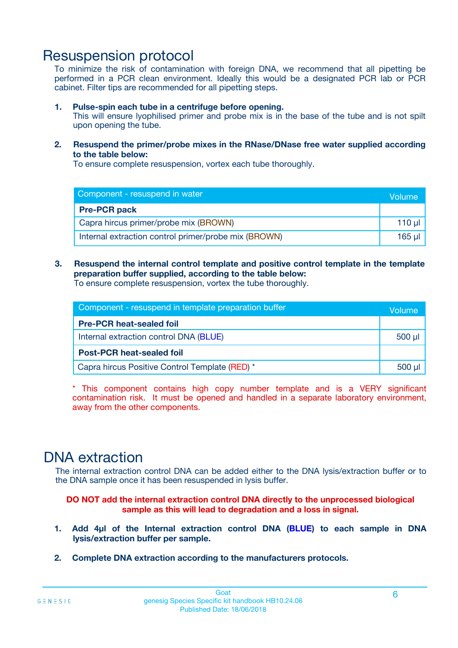# Resuspension protocol

To minimize the risk of contamination with foreign DNA, we recommend that all pipetting be performed in a PCR clean environment. Ideally this would be a designated PCR lab or PCR cabinet. Filter tips are recommended for all pipetting steps.

### **1. Pulse-spin each tube in a centrifuge before opening.**

This will ensure lyophilised primer and probe mix is in the base of the tube and is not spilt upon opening the tube.

**2. Resuspend the primer/probe mixes in the RNase/DNase free water supplied according to the table below:**

To ensure complete resuspension, vortex each tube thoroughly.

| Component - resuspend in water                       |  |  |  |
|------------------------------------------------------|--|--|--|
| <b>Pre-PCR pack</b>                                  |  |  |  |
| Capra hircus primer/probe mix (BROWN)                |  |  |  |
| Internal extraction control primer/probe mix (BROWN) |  |  |  |

### **3. Resuspend the internal control template and positive control template in the template preparation buffer supplied, according to the table below:**

To ensure complete resuspension, vortex the tube thoroughly.

| Component - resuspend in template preparation buffer |             |  |
|------------------------------------------------------|-------------|--|
| <b>Pre-PCR heat-sealed foil</b>                      |             |  |
| Internal extraction control DNA (BLUE)               | $500$ $\mu$ |  |
| <b>Post-PCR heat-sealed foil</b>                     |             |  |
| Capra hircus Positive Control Template (RED) *       |             |  |

\* This component contains high copy number template and is a VERY significant contamination risk. It must be opened and handled in a separate laboratory environment, away from the other components.

# DNA extraction

The internal extraction control DNA can be added either to the DNA lysis/extraction buffer or to the DNA sample once it has been resuspended in lysis buffer.

**DO NOT add the internal extraction control DNA directly to the unprocessed biological sample as this will lead to degradation and a loss in signal.**

- **1. Add 4µl of the Internal extraction control DNA (BLUE) to each sample in DNA lysis/extraction buffer per sample.**
- **2. Complete DNA extraction according to the manufacturers protocols.**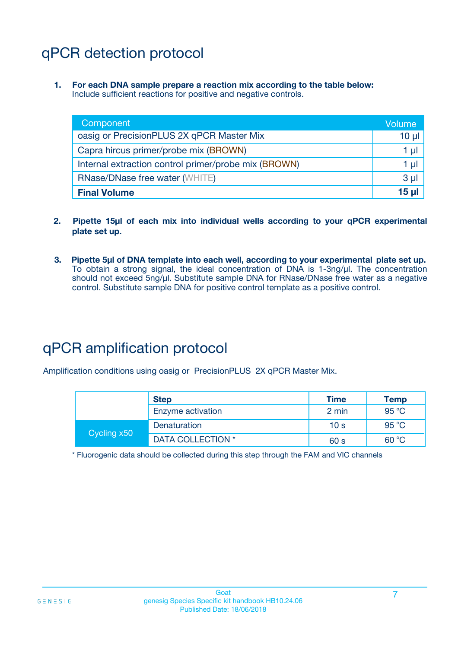# qPCR detection protocol

**1. For each DNA sample prepare a reaction mix according to the table below:** Include sufficient reactions for positive and negative controls.

| Component                                            | Volume         |
|------------------------------------------------------|----------------|
| oasig or PrecisionPLUS 2X qPCR Master Mix            | $10 \mu$       |
| Capra hircus primer/probe mix (BROWN)                | 1 µI           |
| Internal extraction control primer/probe mix (BROWN) | 1 µI           |
| <b>RNase/DNase free water (WHITE)</b>                | 3 <sub>µ</sub> |
| <b>Final Volume</b>                                  | 15 ul          |

- **2. Pipette 15µl of each mix into individual wells according to your qPCR experimental plate set up.**
- **3. Pipette 5µl of DNA template into each well, according to your experimental plate set up.** To obtain a strong signal, the ideal concentration of DNA is 1-3ng/µl. The concentration should not exceed 5ng/µl. Substitute sample DNA for RNase/DNase free water as a negative control. Substitute sample DNA for positive control template as a positive control.

# qPCR amplification protocol

Amplification conditions using oasig or PrecisionPLUS 2X qPCR Master Mix.

|             | <b>Step</b>       | <b>Time</b>     | Temp           |
|-------------|-------------------|-----------------|----------------|
|             | Enzyme activation | 2 min           | 95 °C          |
| Cycling x50 | Denaturation      | 10 <sub>s</sub> | 95 $\degree$ C |
|             | DATA COLLECTION * | 60 s            | 60 °C          |

\* Fluorogenic data should be collected during this step through the FAM and VIC channels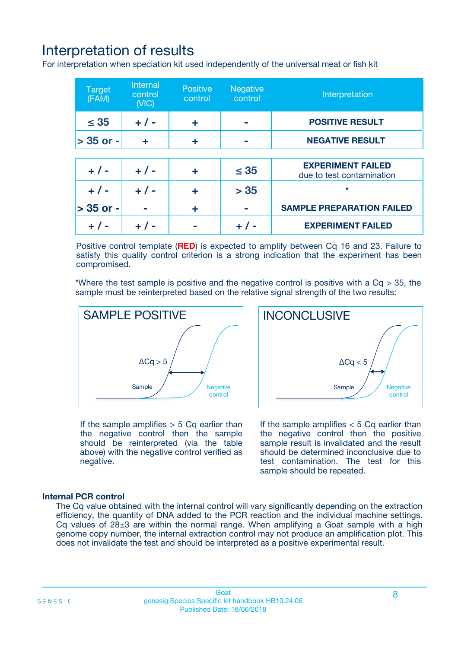# Interpretation of results

For interpretation when speciation kit used independently of the universal meat or fish kit

| <b>Target</b><br>(FAM) | <b>Internal</b><br>control<br>(VIC) | <b>Positive</b><br>control | <b>Negative</b><br>control | Interpretation                                        |
|------------------------|-------------------------------------|----------------------------|----------------------------|-------------------------------------------------------|
| $\leq 35$              | $+ 1 -$                             | ÷                          |                            | <b>POSITIVE RESULT</b>                                |
| $> 35$ or -            | ÷                                   | ÷                          |                            | <b>NEGATIVE RESULT</b>                                |
|                        |                                     |                            |                            |                                                       |
| $+ 1 -$                | $+ 1 -$                             | ÷                          | $\leq 35$                  | <b>EXPERIMENT FAILED</b><br>due to test contamination |
| $+ 1 -$                | $+ 1 -$                             | ٠                          | > 35                       | $\star$                                               |
| $> 35$ or -            |                                     | ÷                          |                            | <b>SAMPLE PREPARATION FAILED</b>                      |
|                        |                                     |                            |                            | <b>EXPERIMENT FAILED</b>                              |

Positive control template (**RED**) is expected to amplify between Cq 16 and 23. Failure to satisfy this quality control criterion is a strong indication that the experiment has been compromised.

\*Where the test sample is positive and the negative control is positive with a  $Ca > 35$ , the sample must be reinterpreted based on the relative signal strength of the two results:



If the sample amplifies  $> 5$  Cq earlier than the negative control then the sample should be reinterpreted (via the table above) with the negative control verified as negative.

Sample  $/$  / Negative control  $\Delta$ Ca < 5 **INCONCLUSIVE** 

If the sample amplifies  $< 5$  Cq earlier than the negative control then the positive sample result is invalidated and the result should be determined inconclusive due to test contamination. The test for this sample should be repeated.

### **Internal PCR control**

The Cq value obtained with the internal control will vary significantly depending on the extraction efficiency, the quantity of DNA added to the PCR reaction and the individual machine settings. Cq values of  $28\pm3$  are within the normal range. When amplifying a Goat sample with a high genome copy number, the internal extraction control may not produce an amplification plot. This does not invalidate the test and should be interpreted as a positive experimental result.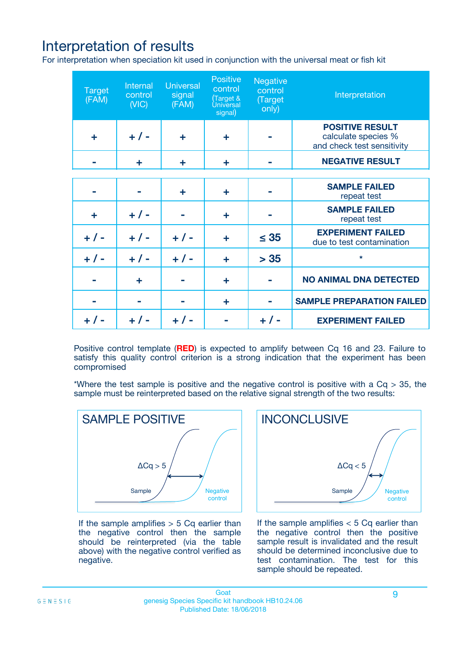# Interpretation of results

For interpretation when speciation kit used in conjunction with the universal meat or fish kit

| <b>Target</b><br>(FAM) | Internal<br>control<br>(NIC) | <b>Universal</b><br>signal<br>(FAM) | Positive<br>control<br>(Target &<br><b>Universal</b><br>signal) | <b>Negative</b><br>control<br>(Target<br>only) | Interpretation                                                              |
|------------------------|------------------------------|-------------------------------------|-----------------------------------------------------------------|------------------------------------------------|-----------------------------------------------------------------------------|
| ÷                      | $+$ / -                      | ÷                                   | ÷                                                               |                                                | <b>POSITIVE RESULT</b><br>calculate species %<br>and check test sensitivity |
|                        | ٠                            | ÷                                   | ÷                                                               |                                                | <b>NEGATIVE RESULT</b>                                                      |
|                        |                              |                                     |                                                                 |                                                |                                                                             |
|                        |                              | ÷                                   | ÷                                                               |                                                | <b>SAMPLE FAILED</b><br>repeat test                                         |
| ÷                      | $+ 1 -$                      |                                     | ÷                                                               |                                                | <b>SAMPLE FAILED</b><br>repeat test                                         |
| $+/-$                  | $+$ / -                      | $+/-$                               | ÷                                                               | $\leq 35$                                      | <b>EXPERIMENT FAILED</b><br>due to test contamination                       |
| $+ 1 -$                | $+$ / -                      | $+ 1 -$                             | ÷                                                               | > 35                                           | $\star$                                                                     |
|                        | ÷                            |                                     | ÷                                                               |                                                | <b>NO ANIMAL DNA DETECTED</b>                                               |
|                        |                              |                                     | ÷                                                               |                                                | <b>SAMPLE PREPARATION FAILED</b>                                            |
| $+  / -$               | $+ 1 -$                      |                                     |                                                                 |                                                | <b>EXPERIMENT FAILED</b>                                                    |

Positive control template (**RED**) is expected to amplify between Cq 16 and 23. Failure to satisfy this quality control criterion is a strong indication that the experiment has been compromised

\*Where the test sample is positive and the negative control is positive with a  $Cq > 35$ , the sample must be reinterpreted based on the relative signal strength of the two results:



If the sample amplifies  $> 5$  Cq earlier than the negative control then the sample should be reinterpreted (via the table above) with the negative control verified as negative.



If the sample amplifies  $< 5$  Cq earlier than the negative control then the positive sample result is invalidated and the result should be determined inconclusive due to test contamination. The test for this sample should be repeated.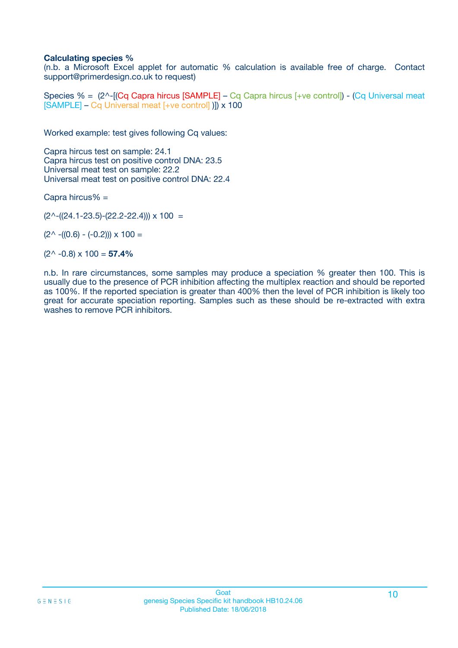### **Calculating species %**

(n.b. a Microsoft Excel applet for automatic % calculation is available free of charge. Contact support@primerdesign.co.uk to request)

Species % =  $(2^{\wedge}$ -[(Cq Capra hircus [SAMPLE] – Cq Capra hircus [+ve control]) - (Cq Universal meat [SAMPLE] – Cq Universal meat [+ve control] )]) x 100

Worked example: test gives following Cq values:

Capra hircus test on sample: 24.1 Capra hircus test on positive control DNA: 23.5 Universal meat test on sample: 22.2 Universal meat test on positive control DNA: 22.4

Capra hircus% =

 $(2^{\wedge}-(24.1-23.5)-(22.2-22.4))) \times 100 =$ 

 $(2^{\wedge}$  -((0.6) - (-0.2)))  $\times$  100 =

(2^ -0.8) x 100 = **57.4%**

n.b. In rare circumstances, some samples may produce a speciation % greater then 100. This is usually due to the presence of PCR inhibition affecting the multiplex reaction and should be reported as 100%. If the reported speciation is greater than 400% then the level of PCR inhibition is likely too great for accurate speciation reporting. Samples such as these should be re-extracted with extra washes to remove PCR inhibitors.